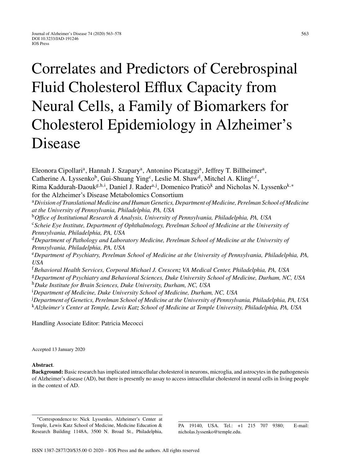# Correlates and Predictors of Cerebrospinal Fluid Cholesterol Efflux Capacity from Neural Cells, a Family of Biomarkers for Cholesterol Epidemiology in Alzheimer's Disease

Eleonora Cipollari<sup>a</sup>, Hannah J. Szapary<sup>a</sup>, Antonino Picataggi<sup>a</sup>, Jeffrey T. Billheimer<sup>a</sup>, Catherine A. Lyssenko<sup>b</sup>, Gui-Shuang Ying<sup>c</sup>, Leslie M. Shaw<sup>d</sup>, Mitchel A. Kling<sup>e,f</sup>, Rima Kaddurah-Daouk<sup>g, h, i</sup>, Daniel J. Rader<sup>a, j</sup>, Domenico Praticò<sup>k</sup> and Nicholas N. Lyssenko<sup>k,</sup>\* for the Alzheimer's Disease Metabolomics Consortium <sup>a</sup>*Division of Translational Medicine and Human Genetics, Department of Medicine, Perelman School of Medicine at the University of Pennsylvania, Philadelphia, PA, USA* <sup>b</sup>*Office of Institutional Research & Analysis, University of Pennsylvania, Philadelphia, PA, USA* <sup>c</sup>*Scheie Eye Institute, Department of Ophthalmology, Perelman School of Medicine at the University of Pennsylvania, Philadelphia, PA, USA* <sup>d</sup>*Department of Pathology and Laboratory Medicine, Perelman School of Medicine at the University of Pennsylvania, Philadelphia, PA, USA* <sup>e</sup>*Department of Psychiatry, Perelman School of Medicine at the University of Pennsylvania, Philadelphia, PA, USA* <sup>f</sup>*Behavioral Health Services, Corporal Michael J. Crescenz VA Medical Center, Philadelphia, PA, USA* <sup>g</sup>*Department of Psychiatry and Behavioral Sciences, Duke University School of Medicine, Durham, NC, USA* <sup>h</sup>*Duke Institute for Brain Sciences, Duke University, Durham, NC, USA* i *Department of Medicine, Duke University School of Medicine, Durham, NC, USA* j *Department of Genetics, Perelman School of Medicine at the University of Pennsylvania, Philadelphia, PA, USA* <sup>k</sup>*Alzheimer's Center at Temple, Lewis Katz School of Medicine at Temple University, Philadelphia, PA, USA*

Handling Associate Editor: Patricia Mecocci

Accepted 13 January 2020

## **Abstract**.

**Background:** Basic research has implicated intracellular cholesterol in neurons, microglia, and astrocytes in the pathogenesis of Alzheimer's disease (AD), but there is presently no assay to access intracellular cholesterol in neural cells in living people in the context of AD.

PA 19140, USA. Tel.: +1 215 707 9380; E-mail: [nicholas.lyssenko@temple.edu.](mailto:nicholas.lyssenko@temple.edu)

<sup>∗</sup>Correspondence to: Nick Lyssenko, Alzheimer's Center at Temple, Lewis Katz School of Medicine, Medicine Education & Research Building 1148A, 3500 N. Broad St., Philadelphia,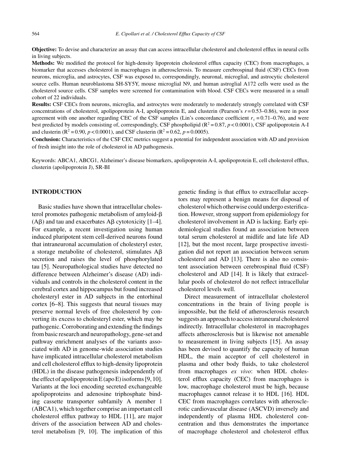**Objective:** To devise and characterize an assay that can access intracellular cholesterol and cholesterol efflux in neural cells in living subjects.

**Methods:** We modified the protocol for high-density lipoprotein cholesterol efflux capacity (CEC) from macrophages, a biomarker that accesses cholesterol in macrophages in atherosclerosis. To measure cerebrospinal fluid (CSF) CECs from neurons, microglia, and astrocytes, CSF was exposed to, correspondingly, neuronal, microglial, and astrocytic cholesterol source cells. Human neuroblastoma SH-SY5Y, mouse microglial N9, and human astroglial A172 cells were used as the cholesterol source cells. CSF samples were screened for contamination with blood. CSF CECs were measured in a small cohort of 22 individuals.

**Results:** CSF CECs from neurons, microglia, and astrocytes were moderately to moderately strongly correlated with CSF concentrations of cholesterol, apolipoprotein A-I, apolipoprotein E, and clusterin (Pearson's *r* = 0.53–0.86), were in poor agreement with one another regarding CEC of the CSF samples (Lin's concordance coefficient  $r_c = 0.71 - 0.76$ ), and were best predicted by models consisting of, correspondingly, CSF phospholipid ( $R^2 = 0.87$ ,  $p < 0.0001$ ), CSF apolipoprotein A-I and clusterin ( $R^2 = 0.90$ ,  $p < 0.0001$ ), and CSF clusterin ( $R^2 = 0.62$ ,  $p = 0.0005$ ).

**Conclusion:** Characteristics of the CSF CEC metrics suggest a potential for independent association with AD and provision of fresh insight into the role of cholesterol in AD pathogenesis.

Keywords: ABCA1, ABCG1, Alzheimer's disease biomarkers, apolipoprotein A-I, apolipoprotein E, cell cholesterol efflux, clusterin (apolipoprotein J), SR-BI

## **INTRODUCTION**

Basic studies have shown that intracellular cholesterol promotes pathogenic metabolism of amyloid- $\beta$  $(A\beta)$  and tau and exacerbates  $A\beta$  cytotoxicity [1–4]. For example, a recent investigation using human induced pluripotent stem cell-derived neurons found that intraneuronal accumulation of cholesteryl ester, a storage metabolite of cholesterol, stimulates  $A\beta$ secretion and raises the level of phosphorylated tau [5]. Neuropathological studies have detected no difference between Alzheimer's disease (AD) individuals and controls in the cholesterol content in the cerebral cortex and hippocampus but found increased cholesteryl ester in AD subjects in the entorhinal cortex [6–8]. This suggests that neural tissues may preserve normal levels of free cholesterol by converting its excess to cholesteryl ester, which may be pathogenic. Corroborating and extending the findings from basic research and neuropathology, gene-set and pathway enrichment analyses of the variants associated with AD in genome-wide association studies have implicated intracellular cholesterol metabolism and cell cholesterol efflux to high-density lipoprotein (HDL) in the disease pathogenesis independently of the effect of apolipoprotein  $E$  (apo  $E$ ) isoforms [9, 10]. Variants at the loci encoding secreted exchangeable apolipoproteins and adenosine triphosphate binding cassette transporter subfamily A member 1 (ABCA1), which together comprise an important cell cholesterol efflux pathway to HDL [11], are major drivers of the association between AD and cholesterol metabolism [9, 10]. The implication of this

genetic finding is that efflux to extracellular acceptors may represent a benign means for disposal of cholesterol which otherwise could undergo esterification. However, strong support from epidemiology for cholesterol involvement in AD is lacking. Early epidemiological studies found an association between total serum cholesterol at midlife and late life AD [12], but the most recent, large prospective investigation did not report an association between serum cholesterol and AD [13]. There is also no consistent association between cerebrospinal fluid (CSF) cholesterol and AD [14]. It is likely that extracellular pools of cholesterol do not reflect intracellular cholesterol levels well.

Direct measurement of intracellular cholesterol concentrations in the brain of living people is impossible, but the field of atherosclerosis research suggests an approach to access intraneural cholesterol indirectly. Intracellular cholesterol in macrophages affects atherosclerosis but is likewise not amenable to measurement in living subjects [15]. An assay has been devised to quantify the capacity of human HDL, the main acceptor of cell cholesterol in plasma and other body fluids, to take cholesterol from macrophages *ex vivo*: when HDL cholesterol efflux capacity (CEC) from macrophages is low, macrophage cholesterol must be high, because macrophages cannot release it to HDL [16]. HDL CEC from macrophages correlates with atherosclerotic cardiovascular disease (ASCVD) inversely and independently of plasma HDL cholesterol concentration and thus demonstrates the importance of macrophage cholesterol and cholesterol efflux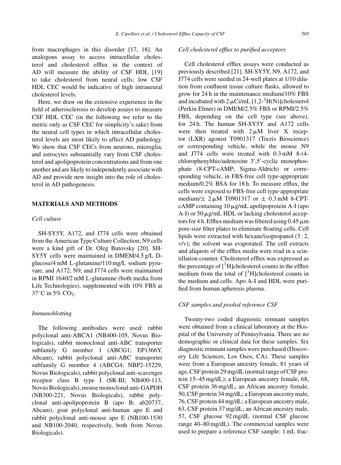from macrophages in this disorder [17, 18]. An analogous assay to access intracellular cholesterol and cholesterol efflux in the context of AD will measure the ability of CSF HDL [19] to take cholesterol from neural cells: low CSF HDL CEC would be indicative of high intraneural cholesterol levels.

Here, we draw on the extensive experience in the field of atherosclerosis to develop assays to measure CSF HDL CEC (in the following we refer to the metric only as CSF CEC for simplicity's sake) from the neural cell types in which intracellular cholesterol levels are most likely to affect AD pathology. We show that CSF CECs from neurons, microglia, and astrocytes substantially vary from CSF cholesterol and apolipoprotein concentrations and from one another and are likely to independently associate with AD and provide new insight into the role of cholesterol in AD pathogenesis.

### **MATERIALS AND METHODS**

## *Cell culture*

SH-SY5Y, A172, and J774 cells were obtained from the American Type Culture Collection; N9 cells were a kind gift of Dr. Oleg Butovsky [20]. SH-SY5Y cells were maintained in DMEM/4.5 g/L Dglucose/4 mM L-glutamine/110 mg/L sodium pyruvate, and A172, N9, and J774 cells were maintained in RPMI 1640/2 mM L-glutamine (both media from Life Technologies), supplemented with 10% FBS at 37°C in 5% CO2.

#### *Immunoblotting*

The following antibodies were used: rabbit polyclonal anti-ABCA1 (NB400-105, Novus Biologicals), rabbit monoclonal anti-ABC transporter subfamily G member 1 (ABCG1; EP1366Y, Abcam), rabbit polyclonal anti-ABC transporter subfamily G member 4 (ABCG4; NBP2-15229, Novus Biologicals), rabbit polyclonal anti-scavenger receptor class B type I (SR-BI; NB400-113, Novus Biologicals), mouse monoclonal anti-GAPDH (NB300-221, Novus Biologicals), rabbit polyclonal anti-apolipoprotein B (apo B; ab20737, Abcam), goat polyclonal anti-human apo E and rabbit polyclonal anti-mouse apo E (NB100-1530 and NB100-2040, respectively, both from Novus Biologicals).

## *Cell cholesterol efflux to purified acceptors*

Cell cholesterol efflux assays were conducted as previously described [21]. SH-SY5Y, N9, A172, and J774 cells were seeded in 24-well plates at 1/10 dilution from confluent tissue culture flasks, allowed to grow for 24 h in the maintenance medium/10% FBS and incubated with  $2 \mu \text{Ci/mL}$  [1,2-<sup>3</sup>H(N)]cholesterol (Perkin Elmer) in DMEM/2.5% FBS or RPMI/2.5% FBS, depending on the cell type (see above), for 24 h. The human SH-SY5Y and A172 cells were then treated with  $2 \mu M$  liver X receptor (LXR) agonist T0901317 (Tocris Bioscience) or corresponding vehicle, while the mouse N9 and J774 cells were treated with 0.3 mM 8-(4 chlorophenylthio)adenosine 3 ,5 -cyclic monophosphate (8-CPT-cAMP; Sigma-Aldrich) or corresponding vehicle, in FBS-free cell type-appropriate medium/0.2% BSA for 18 h. To measure efflux, the cells were exposed to FBS-free cell type-appropriate medium/ $\pm$  2  $\mu$ M T0901317 or  $\pm$  0.3 mM 8-CPTcAMP containing  $10 \mu g/mL$  apolipoprotein A-I (apo A-I) or  $50 \mu g/mL$  HDL or lacking cholesterol acceptors for 4 h. Efflux medium was filtered using  $0.45 \mu m$ pore-size filter plates to eliminate floating cells. Cell lipids were extracted with hexane/isopropanol (3 : 2, v/v); the solvent was evaporated. The cell extracts and aliquots of the efflux media were read in a scintillation counter. Cholesterol efflux was expressed as the percentage of  $[3H]$ cholesterol counts in the efflux medium from the total of  $[3H]$ cholesterol counts in the medium and cells. Apo A-I and HDL were purified from human apheresis plasma.

#### *CSF samples and pooled reference CSF*

Twenty-two coded diagnostic remnant samples were obtained from a clinical laboratory at the Hospital of the University of Pennsylvania. There are no demographic or clinical data for these samples. Six diagnostic remnant samples were purchased (Discovery Life Sciences, Los Osos, CA). These samples were from a European ancestry female, 81 years of age, CSF protein 29 mg/dL (normal range of CSF protein 15–45 mg/dL); a European ancestry female, 68, CSF protein 36 mg/dL; an African ancestry female, 50, CSF protein 34 mg/dL; a European ancestry male, 76, CSF protein 44 mg/dL; a European ancestry male, 63, CSF protein 37 mg/dL; an African ancestry male, 57, CSF glucose 92 mg/dL (normal CSF glucose range 40–80 mg/dL). The commercial samples were used to prepare a reference CSF sample: 1 mL frac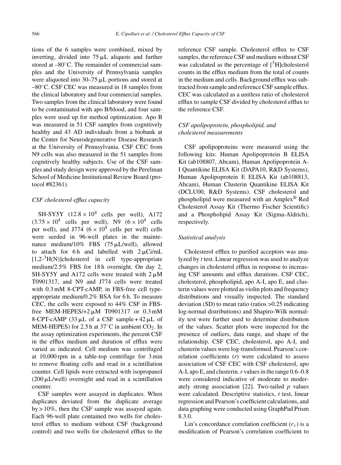tions of the 6 samples were combined, mixed by inverting, divided into  $75 \mu L$  aliquots and further stored at –80◦C. The remainder of commercial samples and the University of Pennsylvania samples were aliquoted into  $30-75 \mu L$  portions and stored at –80◦C. CSF CEC was measured in 18 samples from the clinical laboratory and four commercial samples. Two samples from the clinical laboratory were found to be contaminated with apo B/blood, and four samples were used up for method optimization. Apo B was measured in 51 CSF samples from cognitively healthy and 43 AD individuals from a biobank at the Center for Neurodegenerative Disease Research at the University of Pennsylvania. CSF CEC from N9 cells was also measured in the 51 samples from cognitively healthy subjects. Use of the CSF samples and study design were approved by the Perelman School of Medicine Institutional Review Board (protocol #82361).

### *CSF cholesterol efflux capacity*

SH-SY5Y  $(12.8 \times 10^4 \text{ cells per well}),$  A172  $(3.75 \times 10^4$  cells per well), N9  $(6 \times 10^4$  cells per well), and J774  $(6 \times 10^4$  cells per well) cells were seeded in 96-well plates in the maintenance medium/10% FBS  $(75 \mu L/well)$ , allowed to attach for 6h and labelled with  $2 \mu$ Ci/mL [1,2-3H(N)]cholesterol in cell type-appropriate medium/2.5% FBS for 18 h overnight. On day 2, SH-SY5Y and A172 cells were treated with  $2 \mu M$ T0901317, and N9 and J774 cells were treated with 0.3 mM 8-CPT-cAMP, in FBS-free cell typeappropriate medium/0.2% BSA for 6 h. To measure CEC, the cells were exposed to 44% CSF in FBSfree MEM-HEPES/+2  $\mu$ M T0901317 or 0.3 mM 8-CPT-cAMP (33  $\mu$ L of a CSF sample + 42  $\mu$ L of MEM-HEPES) for 2.5 h at  $37^{\circ}$ C in ambient CO<sub>2</sub>. In the assay optimization experiments, the percent CSF in the efflux medium and duration of efflux were varied as indicated. Cell medium was centrifuged at 10,000 rpm in a table-top centrifuge for 3 min to remove floating cells and read in a scintillation counter. Cell lipids were extracted with isopropanol  $(200 \mu L/well)$  overnight and read in a scintillation counter.

CSF samples were assayed in duplicates. When duplicates deviated from the duplicate average by > 10%, then the CSF sample was assayed again. Each 96-well plate contained two wells for cholesterol efflux to medium without CSF (background control) and two wells for cholesterol efflux to the reference CSF sample. Cholesterol efflux to CSF samples, the reference CSF and medium without CSF was calculated as the percentage of  $\int_0^3 H$ ]cholesterol counts in the efflux medium from the total of counts in the medium and cells. Background efflux was subtracted from sample and reference CSF sample efflux. CEC was calculated as a unitless ratio of cholesterol efflux to sample CSF divided by cholesterol efflux to the reference CSF.

# *CSF apolipoprotein, phospholipid, and cholesterol measurements*

CSF apolipoproteins were measured using the following kits: Human Apolipoprotein B ELISA Kit (ab108807, Abcam), Human Apolipoprotein A-I Quantikine ELISA Kit (DAPA10, R&D Systems), Human Apolipoprotein E ELISA Kit (ab108813, Abcam), Human Clusterin Quantikine ELISA Kit (DCLU00, R&D Systems). CSF cholesterol and phospholipid were measured with an Amplex® Red Cholesterol Assay Kit (Thermo Fischer Scientific) and a Phospholipid Assay Kit (Sigma-Aldrich), respectively.

#### *Statistical analysis*

Cholesterol efflux to purified acceptors was analyzed by *t* test. Linear regression was used to analyze changes in cholesterol efflux in response to increasing CSF amounts and efflux durations. CSF CEC, cholesterol, phospholipid, apo A-I, apo E, and clusterin values were plotted as violin plots and frequency distributions and visually inspected. The standard deviation (SD) to mean ratio (ratios >0.25 indicating log-normal distributions) and Shapiro-Wilk normality test were further used to determine distribution of the values. Scatter plots were inspected for the presence of outliers, data range, and shape of the relationship. CSF CEC, cholesterol, apo A-I, and clusterin values were log-transformed. Pearson's correlation coefficients (*r*) were calculated to assess association of CSF CEC with CSF cholesterol, apo A-I, apo E, and clusterin.*r* values in the range 0.6–0.8 were considered indicative of moderate to moderately strong association [22]. Two-tailed *p* values were calculated. Descriptive statistics, *t* test, linear regression and Pearson's coefficient calculations, and data graphing were conducted using GraphPad Prism 8.3.0.

Lin's concordance correlation coefficient  $(r_c)$  is a modification of Pearson's correlation coefficient to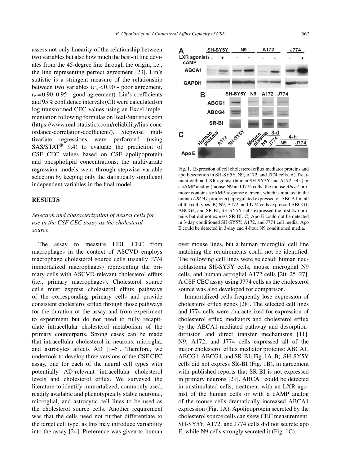assess not only linearity of the relationship between two variables but also how much the best-fit line deviates from the 45-degree line through the origin, i.e., the line representing perfect agreement [23]. Lin's statistic is a stringent measure of the relationship between two variables  $(r_c < 0.90$  - poor agreement,  $r_c = 0.90 - 0.95$  - good agreement). Lin's coefficients and 95% confidence intervals (CI) were calculated on log-transformed CEC values using an Excel implementation following formulas on Real-Statistics.com [\(https://www.real-statistics.com/reliability/lins-conc](https://www.real-statistics.com/reliability/lins-concordance-correlation-coefficient/) [ordance-correlation-coefficient/\)](https://www.real-statistics.com/reliability/lins-concordance-correlation-coefficient/). Stepwise multivariate regressions were performed (using  $SAS/STAT^{\circledR}$  9.4) to evaluate the prediction of CSF CEC values based on CSF apolipoprotein and phospholipid concentrations; the multivariate regression models went through stepwise variable selection by keeping only the statistically significant independent variables in the final model.

## **RESULTS**

# *Selection and characterization of neural cells for use in the CSF CEC assay as the cholesterol source*

The assay to measure HDL CEC from macrophages in the context of ASCVD employs macrophage cholesterol source cells (usually J774 immortalized macrophages) representing the primary cells with ASCVD-relevant cholesterol efflux (i.e., primary macrophages). Cholesterol source cells must express cholesterol efflux pathways of the corresponding primary cells and provide consistent cholesterol efflux through those pathways for the duration of the assay and from experiment to experiment but do not need to fully recapitulate intracellular cholesterol metabolism of the primary counterparts. Strong cases can be made that intracellular cholesterol in neurons, microglia, and astrocytes affects AD [1–5]. Therefore, we undertook to develop three versions of the CSF CEC assay, one for each of the neural cell types with potentially AD-relevant intracellular cholesterol levels and cholesterol efflux. We surveyed the literature to identify immortalized, commonly used, readily available and phenotypically stable neuronal, microglial, and astrocytic cell lines to be used as the cholesterol source cells. Another requirement was that the cells need not further differentiate to the target cell type, as this may introduce variability into the assay [24]. Preference was given to human



Fig. 1. Expression of cell cholesterol efflux mediator proteins and apo E secretion in SH-SY5Y, N9, A172, and J774 cells. A) Treatment with an LXR agonist (human SH-SY5Y and A172 cells) or a cAMP analog (mouse N9 and J774 cells; the mouse *Abca1* promoter contains a cAMP-response element, which is mutated in the human *ABCA1* promoter) upregulated expressed of ABCA1 in all of the cell types. B) N9, A172, and J774 cells expressed ABCG1, ABCG4, and SR-BI; SH-SY5Y cells expressed the first two proteins but did not express SR-BI. C) Apo E could not be detected in 3-day conditioned SH-SY5Y, A172, and J774 cell media. Apo E could be detected in 3-day and 4-hour N9 conditioned media.

over mouse lines, but a human microglial cell line matching the requirements could not be identified. The following cell lines were selected: human neuroblastoma SH-SY5Y cells, mouse microglial N9 cells, and human astroglial A172 cells [20, 25–27]. A CSF CEC assay using J774 cells as the cholesterol source was also developed for comparison.

Immortalized cells frequently lose expression of cholesterol efflux genes [28]. The selected cell lines and J774 cells were characterized for expression of cholesterol efflux mediators and cholesterol efflux by the ABCA1-mediated pathway and desorptiondiffusion and direct transfer mechanisms [11]. N9, A172, and J774 cells expressed all of the major cholesterol efflux mediator proteins: ABCA1, ABCG1, ABCG4, and SR-BI (Fig. 1A, B). SH-SY5Y cells did not express SR-BI (Fig. 1B), in agreement with published reports that SR-BI is not expressed in primary neurons [29]. ABCA1 could be detected in unstimulated cells; treatment with an LXR agonist of the human cells or with a cAMP analog of the mouse cells dramatically increased ABCA1 expression (Fig. 1A). Apolipoprotein secreted by the cholesterol source cells can skew CEC measurement. SH-SY5Y, A172, and J774 cells did not secrete apo E, while N9 cells strongly secreted it (Fig. 1C).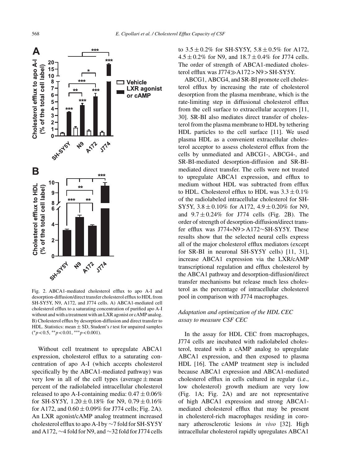

Fig. 2. ABCA1-mediated cholesterol efflux to apo A-I and desorption-diffusion/direct transfer cholesterol efflux to HDL from SH-SY5Y, N9, A172, and J774 cells. A) ABCA1-mediated cell cholesterol efflux to a saturating concentration of purified apo A-I without and with a treatment with an LXR agonist or cAMP analog. B) Cholesterol efflux by desorption-diffusion and direct transfer to HDL. Statistics: mean  $\pm$  SD, Student's *t* test for unpaired samples ( ∗*p* < 0.5, ∗∗*p* < 0.01, ∗∗∗*p* < 0.001).

Without cell treatment to upregulate ABCA1 expression, cholesterol efflux to a saturating concentration of apo A-I (which accepts cholesterol specifically by the ABCA1-mediated pathway) was very low in all of the cell types (average  $\pm$  mean percent of the radiolabeled intracellular cholesterol released to apo A-I-containing media:  $0.47 \pm 0.06\%$ for SH-SY5Y,  $1.20 \pm 0.18\%$  for N9,  $0.79 \pm 0.16\%$ for A172, and  $0.60 \pm 0.09\%$  for J774 cells; Fig. 2A). An LXR agonist/cAMP analog treatment increased cholesterol efflux to apo A-I by ∼7 fold for SH-SY5Y and A172, ∼4 fold for N9, and ∼32 fold for J774 cells to  $3.5 \pm 0.2\%$  for SH-SY5Y,  $5.8 \pm 0.5\%$  for A172,  $4.5 \pm 0.2\%$  for N9, and  $18.7 \pm 0.4\%$  for J774 cells. The order of strength of ABCA1-mediated cholesterol efflux was  $J774 \gg A172 > N9 > SH-SY5Y$ .

ABCG1, ABCG4, and SR-BI promote cell cholesterol efflux by increasing the rate of cholesterol desorption from the plasma membrane, which is the rate-limiting step in diffusional cholesterol efflux from the cell surface to extracellular acceptors [11, 30]. SR-BI also mediates direct transfer of cholesterol from the plasma membrane to HDL by tethering HDL particles to the cell surface [11]. We used plasma HDL as a convenient extracellular cholesterol acceptor to assess cholesterol efflux from the cells by unmediated and ABCG1-, ABCG4-, and SR-BI-mediated desorption-diffusion and SR-BImediated direct transfer. The cells were not treated to upregulate ABCA1 expression, and efflux to medium without HDL was subtracted from efflux to HDL. Cholesterol efflux to HDL was  $3.3 \pm 0.1\%$ of the radiolabeled intracellular cholesterol for SH-SY5Y,  $3.8 \pm 0.10\%$  for A172,  $4.9 \pm 0.20\%$  for N9, and  $9.7 \pm 0.24\%$  for J774 cells (Fig. 2B). The order of strength of desorption-diffusion/direct transfer efflux was J774»N9 > A172∼SH-SY5Y. These results show that the selected neural cells express all of the major cholesterol efflux mediators (except for SR-BI in neuronal SH-SY5Y cells) [11, 31], increase ABCA1 expression via the LXR/cAMP transcriptional regulation and efflux cholesterol by the ABCA1 pathway and desorption-diffusion/direct transfer mechanisms but release much less cholesterol as the percentage of intracellular cholesterol pool in comparison with J774 macrophages.

## *Adaptation and optimization of the HDL CEC assay to measure CSF CEC*

In the assay for HDL CEC from macrophages, J774 cells are incubated with radiolabeled cholesterol, treated with a cAMP analog to upregulate ABCA1 expression, and then exposed to plasma HDL [16]. The cAMP treatment step is included because ABCA1 expression and ABCA1-mediated cholesterol efflux in cells cultured in regular (i.e., low cholesterol) growth medium are very low (Fig. 1A; Fig. 2A) and are not representative of high ABCA1 expression and strong ABCA1 mediated cholesterol efflux that may be present in cholesterol-rich macrophages residing in coronary atherosclerotic lesions *in vivo* [32]. High intracellular cholesterol rapidly upregulates ABCA1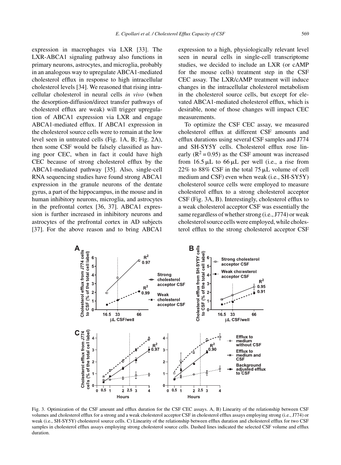expression in macrophages via LXR [33]. The LXR-ABCA1 signaling pathway also functions in primary neurons, astrocytes, and microglia, probably in an analogous way to upregulate ABCA1-mediated cholesterol efflux in response to high intracellular cholesterol levels [34]. We reasoned that rising intracellular cholesterol in neural cells *in vivo* (when the desorption-diffusion/direct transfer pathways of cholesterol efflux are weak) will trigger upregulation of ABCA1 expression via LXR and engage ABCA1-mediated efflux. If ABCA1 expression in the cholesterol source cells were to remain at the low level seen in untreated cells (Fig. 1A, B; Fig. 2A), then some CSF would be falsely classified as having poor CEC, when in fact it could have high CEC because of strong cholesterol efflux by the ABCA1-mediated pathway [35]. Also, single-cell RNA sequencing studies have found strong ABCA1 expression in the granule neurons of the dentate gyrus, a part of the hippocampus, in the mouse and in human inhibitory neurons, microglia, and astrocytes in the prefrontal cortex [36, 37]. ABCA1 expression is further increased in inhibitory neurons and astrocytes of the prefrontal cortex in AD subjects [37]. For the above reason and to bring ABCA1

expression to a high, physiologically relevant level seen in neural cells in single-cell transcriptome studies, we decided to include an LXR (or cAMP for the mouse cells) treatment step in the CSF CEC assay. The LXR/cAMP treatment will induce changes in the intracellular cholesterol metabolism in the cholesterol source cells, but except for elevated ABCA1-mediated cholesterol efflux, which is desirable, none of those changes will impact CEC measurements.

To optimize the CSF CEC assay, we measured cholesterol efflux at different CSF amounts and efflux durations using several CSF samples and J774 and SH-SY5Y cells. Cholesterol efflux rose linearly  $(R^2 = 0.95)$  as the CSF amount was increased from  $16.5 \mu L$  to  $66 \mu L$  per well (i.e., a rise from 22% to 88% CSF in the total 75  $\mu$ L volume of cell medium and CSF) even when weak (i.e., SH-SY5Y) cholesterol source cells were employed to measure cholesterol efflux to a strong cholesterol acceptor CSF (Fig. 3A, B). Interestingly, cholesterol efflux to a weak cholesterol acceptor CSF was essentially the same regardless of whether strong (i.e., J774) or weak cholesterol source cells were employed, while cholesterol efflux to the strong cholesterol acceptor CSF



Fig. 3. Optimization of the CSF amount and efflux duration for the CSF CEC assays. A, B) Linearity of the relationship between CSF volumes and cholesterol efflux for a strong and a weak cholesterol acceptor CSF in cholesterol efflux assays employing strong (i.e., J774) or weak (i.e., SH-SY5Y) cholesterol source cells. C) Linearity of the relationship between efflux duration and cholesterol efflux for two CSF samples in cholesterol efflux assays employing strong cholesterol source cells. Dashed lines indicated the selected CSF volume and efflux duration.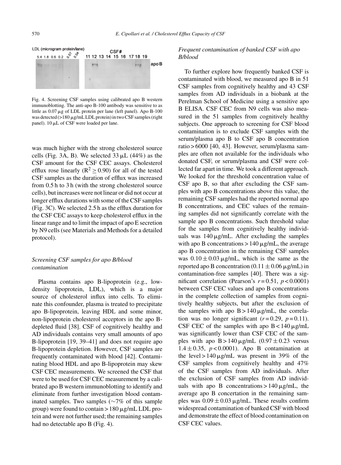

Fig. 4. Screening CSF samples using calibrated apo B western immunoblotting. The anti-apo B-100 antibody was sensitive to as little as  $0.07 \mu$ g of LDL protein per lane (left panel). Apo B-100 was detected  $(>180 \,\mu g/mL$  LDL protein) in two CSF samples (right panel).  $10 \mu L$  of CSF were loaded per lane.

was much higher with the strong cholesterol source cells (Fig. 3A, B). We selected  $33 \mu L$  (44%) as the CSF amount for the CSF CEC assays. Cholesterol efflux rose linearly ( $R^2 > 0.90$ ) for all of the tested CSF samples as the duration of efflux was increased from 0.5 h to 3 h (with the strong cholesterol source cells), but increases were not linear or did not occur at longer efflux durations with some of the CSF samples (Fig. 3C). We selected 2.5 h as the efflux duration for the CSF CEC assays to keep cholesterol efflux in the linear range and to limit the impact of apo E secretion by N9 cells (see Materials and Methods for a detailed protocol).

# *Screening CSF samples for apo B/blood contamination*

Plasma contains apo B-lipoprotein (e.g., lowdensity lipoprotein, LDL), which is a major source of cholesterol influx into cells. To eliminate this confounder, plasma is treated to precipitate apo B-lipoprotein, leaving HDL and some minor, non-lipoprotein cholesterol acceptors in the apo Bdepleted fluid [38]. CSF of cognitively healthy and AD individuals contains very small amounts of apo B-lipoprotein [19, 39–41] and does not require apo B-lipoprotein depletion. However, CSF samples are frequently contaminated with blood [42]. Contaminating blood HDL and apo B-lipoprotein may skew CSF CEC measurements. We screened the CSF that were to be used for CSF CEC measurement by a calibrated apo B western immunoblotting to identify and eliminate from further investigation blood contaminated samples. Two samples (∼7% of this sample group) were found to contain  $> 180 \mu$ g/mL LDL protein and were not further used; the remaining samples had no detectable apo B (Fig. 4).

# *Frequent contamination of banked CSF with apo B/blood*

To further explore how frequently banked CSF is contaminated with blood, we measured apo B in 51 CSF samples from cognitively healthy and 43 CSF samples from AD individuals in a biobank at the Perelman School of Medicine using a sensitive apo B ELISA. CSF CEC from N9 cells was also measured in the 51 samples from cognitively healthy subjects. One approach to screening for CSF blood contamination is to exclude CSF samples with the serum/plasma apo B to CSF apo B concentration ratio > 6000 [40, 43]. However, serum/plasma samples are often not available for the individuals who donated CSF, or serum/plasma and CSF were collected far apart in time. We took a different approach. We looked for the threshold concentration value of CSF apo B, so that after excluding the CSF samples with apo B concentrations above this value, the remaining CSF samples had the reported normal apo B concentrations, and CEC values of the remaining samples did not significantly correlate with the sample apo B concentrations. Such threshold value for the samples from cognitively healthy individuals was  $140 \mu g/mL$ . After excluding the samples with apo B concentrations  $> 140 \mu g/mL$ , the average apo B concentration in the remaining CSF samples was  $0.10 \pm 0.03 \,\mu$ g/mL, which is the same as the reported apo B concentration (0.11  $\pm$  0.06  $\mu$ g/mL) in contamination-free samples [40]. There was a significant correlation (Pearson's  $r = 0.51$ ,  $p < 0.0001$ ) between CSF CEC values and apo B concentrations in the complete collection of samples from cognitively healthy subjects, but after the exclusion of the samples with apo  $B > 140 \mu g/mL$ , the correlation was no longer significant  $(r=0.29, p=0.11)$ . CSF CEC of the samples with apo  $B < 140 \mu g/mL$ was significantly lower than CSF CEC of the samples with apo  $B > 140 \mu g/mL$  (0.97  $\pm$  0.23 versus 1.4  $\pm$  0.35, *p* < 0.0001). Apo B contamination at the level > 140  $\mu$ g/mL was present in 39% of the CSF samples from cognitively healthy and 47% of the CSF samples from AD individuals. After the exclusion of CSF samples from AD individuals with apo B concentrations  $> 140 \mu g/mL$ , the average apo B concertation in the remaining samples was  $0.09 \pm 0.03 \,\mu$ g/mL. These results confirm widespread contamination of banked CSF with blood and demonstrate the effect of blood contamination on CSF CEC values.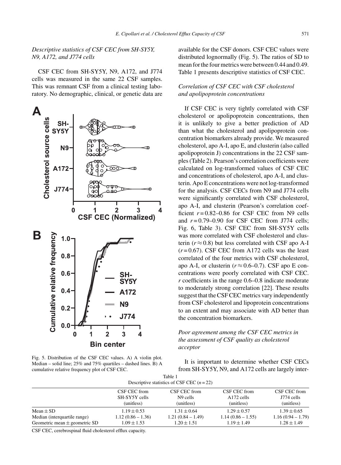# *Descriptive statistics of CSF CEC from SH-SY5Y, N9, A172, and J774 cells*

CSF CEC from SH-SY5Y, N9, A172, and J774 cells was measured in the same 22 CSF samples. This was remnant CSF from a clinical testing laboratory. No demographic, clinical, or genetic data are



Fig. 5. Distribution of the CSF CEC values. A) A violin plot. Median – solid line; 25% and 75% quartiles – dashed lines. B) A cumulative relative frequency plot of CSF CEC.

available for the CSF donors. CSF CEC values were distributed lognormally (Fig. 5). The ratios of SD to mean for the four metrics were between 0.44 and 0.49. Table 1 presents descriptive statistics of CSF CEC.

## *Correlation of CSF CEC with CSF cholesterol and apolipoprotein concentrations*

If CSF CEC is very tightly correlated with CSF cholesterol or apolipoprotein concentrations, then it is unlikely to give a better prediction of AD than what the cholesterol and apolipoprotein concentration biomarkers already provide. We measured cholesterol, apo A-I, apo E, and clusterin (also called apolipoprotein J) concentrations in the 22 CSF samples (Table 2). Pearson's correlation coefficients were calculated on log-transformed values of CSF CEC and concentrations of cholesterol, apo A-I, and clusterin. Apo E concentrations were not log-transformed for the analysis. CSF CECs from N9 and J774 cells were significantly correlated with CSF cholesterol, apo A-I, and clusterin (Pearson's correlation coefficient  $r = 0.82 - 0.86$  for CSF CEC from N9 cells and  $r = 0.79 - 0.90$  for CSF CEC from J774 cells; Fig. 6, Table 3). CSF CEC from SH-SY5Y cells was more correlated with CSF cholesterol and clusterin  $(r \approx 0.8)$  but less correlated with CSF apo A-I  $(r=0.67)$ . CSF CEC from A172 cells was the least correlated of the four metrics with CSF cholesterol, apo A-I, or clusterin ( $r \approx 0.6$ –0.7). CSF apo E concentrations were poorly correlated with CSF CEC. *r* coefficients in the range 0.6–0.8 indicate moderate to moderately strong correlation [22]. These results suggest that the CSF CEC metrics vary independently from CSF cholesterol and lipoprotein concentrations to an extent and may associate with AD better than the concentration biomarkers.

# *Poor agreement among the CSF CEC metrics in the assessment of CSF quality as cholesterol acceptor*

It is important to determine whether CSF CECs from SH-SY5Y, N9, and A172 cells are largely inter-

| Table 1                                      |
|----------------------------------------------|
| Descriptive statistics of CSF CEC $(n = 22)$ |

| CSF CEC from        | CSF CEC from         | CSF CEC from        | CSF CEC from        |
|---------------------|----------------------|---------------------|---------------------|
| SH-SY5Y cells       | N <sub>9</sub> cells | A172 cells          | J774 cells          |
| (unitless)          | (unitless)           | (unitless)          | (unitless)          |
| $1.19 \pm 0.53$     | $1.31 \pm 0.64$      | $1.29 \pm 0.57$     | $1.39 \pm 0.65$     |
| $1.12(0.86 - 1.36)$ | $1.21(0.84 - 1.49)$  | $1.14(0.86 - 1.55)$ | $1.16(0.94 - 1.79)$ |
| $1.09 \pm 1.53$     | $1.20 \pm 1.51$      | $1.19 \pm 1.49$     | $1.28 \pm 1.49$     |
|                     |                      |                     |                     |

CSF CEC, cerebrospinal fluid cholesterol efflux capacity.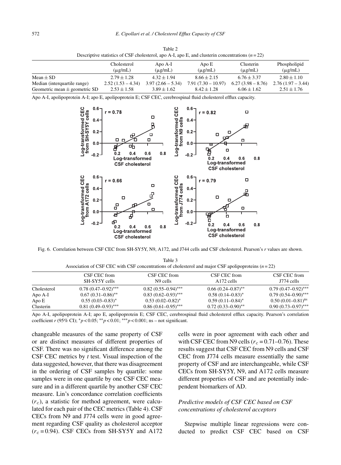| Table 2                                                                                           |
|---------------------------------------------------------------------------------------------------|
| Descriptive statistics of CSF cholesterol, apo A-I, apo E, and cluster in concentrations $(n=22)$ |

|                                   | Cholesterol<br>$(\mu$ g/mL) | Apo A-I<br>$(\mu$ g/mL) | Apo E<br>$(\mu$ g/mL) | Clusterin<br>$(\mu$ g/mL) | Phospholipid<br>$(\mu g/mL)$ |
|-----------------------------------|-----------------------------|-------------------------|-----------------------|---------------------------|------------------------------|
| Mean $\pm$ SD                     | $2.79 \pm 1.28$             | $4.32 \pm 1.94$         | $8.66 \pm 2.15$       | $6.76 \pm 3.37$           | $2.80 \pm 1.10$              |
| Median (interquartile range)      | $2.52(1.53 - 4.34)$         | $3.97(2.66 - 5.34)$     | $7.91(7.30 - 10.97)$  | $6.27(3.98 - 8.76)$       | $2.76(1.97 - 3.44)$          |
| Geometric mean $\pm$ geometric SD | $2.53 \pm 1.58$             | $3.89 \pm 1.62$         | $8.42 \pm 1.28$       | $6.06 \pm 1.62$           | $2.51 \pm 1.76$              |

Apo A-I, apolipoprotein A-I; apo E, apolipoprotein E; CSF CEC, cerebrospinal fluid cholesterol efflux capacity.



Fig. 6. Correlation between CSF CEC from SH-SY5Y, N9, A172, and J744 cells and CSF cholesterol. Pearson's *r* values are shown.

| Table 3                                                                                              |
|------------------------------------------------------------------------------------------------------|
| Association of CSF CEC with CSF concentrations of cholesterol and major CSF apolipoproteins $(n=22)$ |

|             | CSF CEC from<br>SH-SY5Y cells | CSF CEC from<br>N <sub>9</sub> cells | CSF CEC from<br>A172 cells | CSF CEC from<br>J774 cells |
|-------------|-------------------------------|--------------------------------------|----------------------------|----------------------------|
| Cholesterol | $0.78(0.47-0.92)$ ***         | $0.82(0.55-0.94)$ ***                | $0.66(0.24 - 0.87)$ **     | $0.79(0.47-0.92)$ ***      |
| Apo A-I     | $0.67(0.31-0.86)$ **          | $0.83(0.62 - 0.93)$ ***              | $0.58(0.14 - 0.83)^*$      | $0.79(0.54 - 0.90)$ ***    |
| Apo E       | $0.55(0.03 - 0.83)^{*}$       | $0.53(0.02-0.82)^{*}$                | $0.59(0.11-0.84)^{*}$      | $0.50(0.01-0.81)^{ns}$     |
| Clusterin   | $0.81(0.49-0.93)$ ***         | $0.86(0.61-0.95)$ ***                | $0.72(0.33-0.90)$ **       | $0.90(0.73-0.97)$ ***      |
|             |                               |                                      |                            |                            |

Apo A-I, apolipoprotein A-I; apo E, apolipoprotein E; CSF CEC, cerebrospinal fluid cholesterol efflux capacity. Pearson's correlation coefficient *r* (95% CI);  $^*p < 0.05$ ;  $^{**}p < 0.01$ ;  $^{***}p < 0.001$ ; ns – not significant.

changeable measures of the same property of CSF or are distinct measures of different properties of CSF. There was no significant difference among the CSF CEC metrics by *t* test. Visual inspection of the data suggested, however, that there was disagreement in the ordering of CSF samples by quartile: some samples were in one quartile by one CSF CEC measure and in a different quartile by another CSF CEC measure. Lin's concordance correlation coefficients  $(r_c)$ , a statistic for method agreement, were calculated for each pair of the CEC metrics (Table 4). CSF CECs from N9 and J774 cells were in good agreement regarding CSF quality as cholesterol acceptor  $(r_c = 0.94)$ . CSF CECs from SH-SY5Y and A172

cells were in poor agreement with each other and with CSF CEC from N9 cells  $(r_c = 0.71 - 0.76)$ . These results suggest that CSF CEC from N9 cells and CSF CEC from J774 cells measure essentially the same property of CSF and are interchangeable, while CSF CECs from SH-SY5Y, N9, and A172 cells measure different properties of CSF and are potentially independent biomarkers of AD.

# *Predictive models of CSF CEC based on CSF concentrations of cholesterol acceptors*

Stepwise multiple linear regressions were conducted to predict CSF CEC based on CSF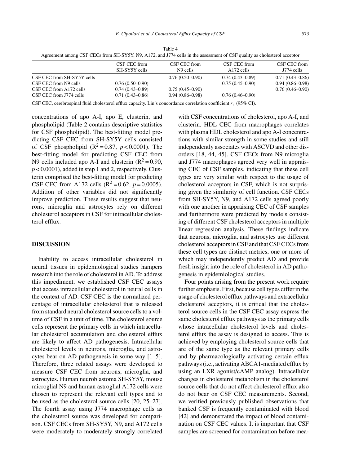| Agreement among CSP CECS from SIT-S L9 1, 199, AT72, and J774 cens in the assessment of CSP quality as choicsteror acceptor |                               |                                      |                            |                            |  |
|-----------------------------------------------------------------------------------------------------------------------------|-------------------------------|--------------------------------------|----------------------------|----------------------------|--|
|                                                                                                                             | CSF CEC from<br>SH-SY5Y cells | CSF CEC from<br>N <sub>9</sub> cells | CSF CEC from<br>A172 cells | CSF CEC from<br>J774 cells |  |
| CSF CEC from SH-SY5Y cells                                                                                                  |                               | $0.76(0.50-0.90)$                    | $0.74(0.43 - 0.89)$        | $0.71(0.43 - 0.86)$        |  |
| CSF CEC from N9 cells                                                                                                       | $0.76(0.50-0.90)$             |                                      | $0.75(0.45-0.90)$          | $0.94(0.86 - 0.98)$        |  |
| CSF CEC from A172 cells                                                                                                     | $0.74(0.43-0.89)$             | $0.75(0.45-0.90)$                    |                            | $0.76(0.46 - 0.90)$        |  |
| CSF CEC from J774 cells                                                                                                     | $0.71(0.43 - 0.86)$           | $0.94(0.86 - 0.98)$                  | $0.76(0.46 - 0.90)$        |                            |  |

Table 4 Agreement among CSF CECs from SH-SY5Y, N9, A172, and J774 cells in the assessment of CSF quality as cholesterol acceptor

CSF CEC, cerebrospinal fluid cholesterol efflux capacity. Lin's concordance correlation coefficient  $r_c$  (95% CI).

concentrations of apo A-I, apo E, clusterin, and phospholipid (Table 2 contains descriptive statistics for CSF phospholipid). The best-fitting model predicting CSF CEC from SH-SY5Y cells consisted of CSF phospholipid  $(R^2 = 0.87, p < 0.0001)$ . The best-fitting model for predicting CSF CEC from N9 cells included apo A-I and clusterin  $(R^2 = 0.90$ ,  $p < 0.0001$ ), added in step 1 and 2, respectively. Clusterin comprised the best-fitting model for predicting CSF CEC from A172 cells  $(R^2 = 0.62, p = 0.0005)$ . Addition of other variables did not significantly improve prediction. These results suggest that neurons, microglia and astrocytes rely on different cholesterol acceptors in CSF for intracellular cholesterol efflux.

#### **DISCUSSION**

Inability to access intracellular cholesterol in neural tissues in epidemiological studies hampers research into the role of cholesterol in AD. To address this impediment, we established CSF CEC assays that access intracellular cholesterol in neural cells in the context of AD. CSF CEC is the normalized percentage of intracellular cholesterol that is released from standard neural cholesterol source cells to a volume of CSF in a unit of time. The cholesterol source cells represent the primary cells in which intracellular cholesterol accumulation and cholesterol efflux are likely to affect AD pathogenesis. Intracellular cholesterol levels in neurons, microglia, and astrocytes bear on AD pathogenesis in some way [1–5]. Therefore, three related assays were developed to measure CSF CEC from neurons, microglia, and astrocytes. Human neuroblastoma SH-SY5Y, mouse microglial N9 and human astroglial A172 cells were chosen to represent the relevant cell types and to be used as the cholesterol source cells [20, 25–27]. The fourth assay using J774 macrophage cells as the cholesterol source was developed for comparison. CSF CECs from SH-SY5Y, N9, and A172 cells were moderately to moderately strongly correlated

with CSF concentrations of cholesterol, apo A-I, and clusterin. HDL CEC from macrophages correlates with plasma HDL cholesterol and apo A-I concentrations with similar strength in some studies and still independently associates with ASCVD and other disorders [18, 44, 45]. CSF CECs from N9 microglia and J774 macrophages agreed very well in appraising CEC of CSF samples, indicating that these cell types are very similar with respect to the usage of cholesterol acceptors in CSF, which is not surprising given the similarity of cell function. CSF CECs from SH-SY5Y, N9, and A172 cells agreed poorly with one another in appraising CEC of CSF samples and furthermore were predicted by models consisting of different CSF cholesterol acceptors in multiple linear regression analysis. These findings indicate that neurons, microglia, and astrocytes use different cholesterol acceptors in CSF and that CSF CECs from these cell types are distinct metrics, one or more of which may independently predict AD and provide fresh insight into the role of cholesterol in AD pathogenesis in epidemiological studies.

Four points arising from the present work require further emphasis. First, because cell types differ in the usage of cholesterol efflux pathways and extracellular cholesterol acceptors, it is critical that the cholesterol source cells in the CSF CEC assay express the same cholesterol efflux pathways as the primary cells whose intracellular cholesterol levels and cholesterol efflux the assay is designed to access. This is achieved by employing cholesterol source cells that are of the same type as the relevant primary cells and by pharmacologically activating certain efflux pathways (i.e., activating ABCA1-mediated efflux by using an LXR agonist/cAMP analog). Intracellular changes in cholesterol metabolism in the cholesterol source cells that do not affect cholesterol efflux also do not bear on CSF CEC measurements. Second, we verified previously published observations that banked CSF is frequently contaminated with blood [42] and demonstrated the impact of blood contamination on CSF CEC values. It is important that CSF samples are screened for contamination before mea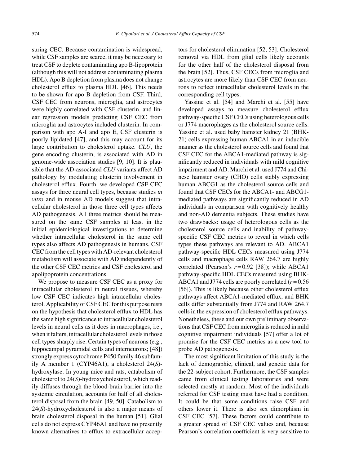suring CEC. Because contamination is widespread, while CSF samples are scarce, it may be necessary to treat CSF to deplete contaminating apo B-lipoprotein (although this will not address contaminating plasma HDL). Apo B depletion from plasma does not change cholesterol efflux to plasma HDL [46]. This needs to be shown for apo B depletion from CSF. Third, CSF CEC from neurons, microglia, and astrocytes were highly correlated with CSF clusterin, and linear regression models predicting CSF CEC from microglia and astrocytes included clusterin. In comparison with apo A-I and apo E, CSF clusterin is poorly lipidated [47], and this may account for its large contribution to cholesterol uptake. *CLU*, the gene encoding clusterin, is associated with AD in genome-wide association studies [9, 10]. It is plausible that the AD-associated *CLU* variants affect AD pathology by modulating clusterin involvement in cholesterol efflux. Fourth, we developed CSF CEC assays for three neural cell types, because studies *in vitro* and in mouse AD models suggest that intracellular cholesterol in those three cell types affects AD pathogenesis. All three metrics should be measured on the same CSF samples at least in the initial epidemiological investigations to determine whether intracellular cholesterol in the same cell types also affects AD pathogenesis in humans. CSF CEC from the cell types with AD-relevant cholesterol metabolism will associate with AD independently of the other CSF CEC metrics and CSF cholesterol and apolipoprotein concentrations.

We propose to measure CSF CEC as a proxy for intracellular cholesterol in neural tissues, whereby low CSF CEC indicates high intracellular cholesterol. Applicability of CSF CEC for this purpose rests on the hypothesis that cholesterol efflux to HDL has the same high significance to intracellular cholesterol levels in neural cells as it does in macrophages, i.e., when it falters, intracellular cholesterol levels in those cell types sharply rise. Certain types of neurons (e.g., hippocampal pyramidal cells and interneurons; [48]) strongly express cytochrome P450 family 46 subfamily A member 1 (CYP46A1), a cholesterol 24(*S*) hydroxylase. In young mice and rats, catabolism of cholesterol to 24(*S*)-hydroxycholesterol, which readily diffuses through the blood-brain barrier into the systemic circulation, accounts for half of all cholesterol disposal from the brain [49, 50]. Catabolism to 24(*S*)-hydroxycholesterol is also a major means of brain cholesterol disposal in the human [51]. Glial cells do not express CYP46A1 and have no presently known alternatives to efflux to extracellular acceptors for cholesterol elimination [52, 53]. Cholesterol removal via HDL from glial cells likely accounts for the other half of the cholesterol disposal from the brain [52]. Thus, CSF CECs from microglia and astrocytes are more likely than CSF CEC from neurons to reflect intracellular cholesterol levels in the corresponding cell types.

Yassine et al. [54] and Marchi et al. [55] have developed assays to measure cholesterol efflux pathway-specific CSF CECs using heterologous cells or J774 macrophages as the cholesterol source cells. Yassine et al. used baby hamster kidney 21 (BHK-21) cells expressing human ABCA1 in an inducible manner as the cholesterol source cells and found that CSF CEC for the ABCA1-mediated pathway is significantly reduced in individuals with mild cognitive impairment and AD. Marchi et al. used J774 and Chinese hamster ovary (CHO) cells stably expressing human ABCG1 as the cholesterol source cells and found that CSF CECs for the ABCA1- and ABCG1 mediated pathways are significantly reduced in AD individuals in comparison with cognitively healthy and non-AD dementia subjects. These studies have two drawbacks: usage of heterologous cells as the cholesterol source cells and inability of pathwayspecific CSF CEC metrics to reveal in which cells types these pathways are relevant to AD. ABCA1 pathway-specific HDL CECs measured using J774 cells and macrophage cells RAW 264.7 are highly correlated (Pearson's  $r = 0.92$  [38]); while ABCA1 pathway-specific HDL CECs measured using BHK-ABCA1 and J774 cells are poorly correlated  $(r = 0.56$ [56]). This is likely because other cholesterol efflux pathways affect ABCA1-mediated efflux, and BHK cells differ substantially from J774 and RAW 264.7 cells in the expression of cholesterol efflux pathways. Nonetheless, these and our own preliminary observations that CSF CEC from microglia is reduced in mild cognitive impairment individuals [57] offer a lot of promise for the CSF CEC metrics as a new tool to probe AD pathogenesis.

The most significant limitation of this study is the lack of demographic, clinical, and genetic data for the 22-subject cohort. Furthermore, the CSF samples came from clinical testing laboratories and were selected mostly at random. Most of the individuals referred for CSF testing must have had a condition. It could be that some conditions raise CSF and others lower it. There is also sex dimorphism in CSF CEC [57]. These factors could contribute to a greater spread of CSF CEC values and, because Pearson's correlation coefficient is very sensitive to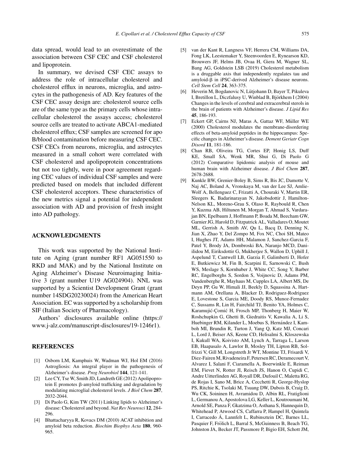data spread, would lead to an overestimate of the association between CSF CEC and CSF cholesterol and lipoprotein.

In summary, we devised CSF CEC assays to address the role of intracellular cholesterol and cholesterol efflux in neurons, microglia, and astrocytes in the pathogenesis of AD. Key features of the CSF CEC assay design are: cholesterol source cells are of the same type as the primary cells whose intracellular cholesterol the assays access; cholesterol source cells are treated to activate ABCA1-mediated cholesterol efflux; CSF samples are screened for apo B/blood contamination before measuring CSF CEC. CSF CECs from neurons, microglia, and astrocytes measured in a small cohort were correlated with CSF cholesterol and apolipoprotein concentrations but not too tightly, were in poor agreement regarding CEC values of individual CSF samples and were predicted based on models that included different CSF cholesterol acceptors. These characteristics of the new metrics signal a potential for independent association with AD and provision of fresh insight into AD pathology.

#### **ACKNOWLEDGMENTS**

This work was supported by the National Institute on Aging (grant number RF1 AG051550 to RKD and MAK) and by the National Institute on Aging Alzheimer's Disease Neuroimaging Initiative 3 (grant number U19 AG024904). NNL was supported by a Scientist Development Grant (grant number 14SDG20230024) from the American Heart Association. EC was supported by a scholarship from SIF (Italian Society of Pharmacology).

Authors' disclosures available online ([https://](https://www.j-alz.com/manuscript-disclosures/19-1246r1) [www.j-alz.com/manuscript-disclosures/19-1246r1\)](https://www.j-alz.com/manuscript-disclosures/19-1246r1).

## **REFERENCES**

- [1] Osborn LM, Kamphuis W, Wadman WJ, Hol EM (2016) Astrogliosis: An integral player in the pathogenesis of Alzheimer's disease. *Prog Neurobiol* **144**, 121-141.
- [2] Lee CY, Tse W, Smith JD, Landreth GE (2012) Apolipoprotein  $E$  promotes  $\beta$ -amyloid trafficking and degradation by modulating microglial cholesterol levels. *J Biol Chem* **287**, 2032-2044.
- [3] Di Paolo G, Kim TW (2011) Linking lipids to Alzheimer's disease: Cholesterol and beyond. *Nat Rev Neurosci* **12**, 284- 296.
- [4] Bhattacharyya R, Kovacs DM (2010) ACAT inhibition and amyloid beta reduction. *Biochim Biophys Acta* **180**, 960- 965.
- [5] van der Kant R, Langness VF, Herrera CM, Williams DA, Fong LK, Leestemaker Y, Steenvoorden E, Rynearson KD, Brouwers JF, Helms JB, Ovaa H, Giera M, Wagner SL, Bang AG, Goldstein LSB (2019) Cholesterol metabolism is a druggable axis that independently regulates tau and  $amyloid- $\beta$  in iPSC-derived Alzheimer's disease neurons.$ *Cell Stem Cell* **24**, 363-375.
- [6] Heverin M, Bogdanovic N, Lütjohann D, Bayer T, Pikuleva I, Bretillon L, Diczfalusy U, Winblad B, Björkhem I (2004) Changes in the levels of cerebral and extracerebral sterols in the brain of patients with Alzheimer's disease. *J Lipid Res* **45**, 186-193.
- [7] Eckert GP, Cairns NJ, Maras A, Gattaz WF, Müller WE (2000) Cholesterol modulates the membrane-disordering effects of beta-amyloid peptides in the hippocampus: Specific changes in Alzheimer's disease. *Dement Geriatr Cogn Disord* **11**, 181-186.
- [8] Chan RB, Oliveira TG, Cortes EP, Honig LS, Duff KE, Small SA, Wenk MR, Shui G, Di Paolo G (2012) Comparative lipidomic analysis of mouse and human brain with Alzheimer disease. *J Biol Chem* **287**, 2678-2688.
- [9] Kunkle BW, Grenier-Boley B, Sims R, Bis JC, Damotte V, Naj AC, Boland A, Vronskaya M, van der Lee SJ, Amlie-Wolf A, Bellenguez C, Frizatti A, Chouraki V, Martin ER, Sleegers K, Badarinarayan N, Jakobsdottir J, Hamilton-Nelson KL, Moreno-Grau S, Olaso R, Raybould R, Chen Y, Kuzma AB, Hiltunen M, Morgan T, Ahmad S, Vardarajan BN, Epelbaum J, Hoffmann P, Boada M, Beecham GW, Garnier JG, Harold D, Fitzpatrick AL, Valladares O, Moutet ML, Gerrish A, Smith AV, Qu L, Bacq D, Denning N, Jian X, Zhao Y, Del Zompo M, Fox NC, Choi SH, Mateo I, Hughes JT, Adams HH, Malamon J, Sanchez-Garcia F, Patel Y, Brody JA, Dombroski BA, Naranjo MCD, Daniilidou M, Eiriksdottir G, Mukherjee S, Wallon D, Uphill J, Aspelund T, Cantwell LB, Garzia F, Galimberti D, Hofer E, Butkiewicz M, Fin B, Scarpini E, Sarnowski C, Bush WS, Meslage S, Kornhuber J, White CC, Song Y, Barber RC, Engelborghs S, Sordon S, Voijnovic D, Adams PM, Vandenberghe R, Mayhaus M, Cupples LA, Albert MS, De Deyn PP, Gu W, Himali JJ, Beekly D, Squassina A, Hartmann AM, Orellana A, Blacker D, Rodriguez-Rodriguez E, Lovestone S, Garcia ME, Doody RS, Munoz-Fernadez C, Sussams R, Lin H, Fairchild TJ, Benito YA, Holmes C, Karamujić-Çomić H, Frosch MP, Thonberg H, Maier W, Roshchupkin G, Ghetti B, Giedraitis V, Kawalia A, Li S, Huebinger RM, Kilander L, Moebus S, Hernández I, Kamboh MI, Brundin R, Turton J, Yang Q, Katz MJ, Concari L, Lord J, Beiser AS, Keene CD, Helisalmi S, Kloszewska I, Kukull WA, Koivisto AM, Lynch A, Tarraga L, Larson EB, Haapasalo A, Lawlor B, Mosley TH, Lipton RB, Solfrizzi V, Gill M, Longstreth Jr WT, Montine TJ, Frisardi V, Diez-Fairen M, Rivadeneira F, Petersen RC, Deramecourt V, Alvarez I, Salani F, Ciaramella A, Boerwinkle E, Reiman EM, Fievet N, Rotter JI, Reisch JS, Hanon O, Cupidi C, Andre Uitterlinden AG, Royall DR, Dufouil C, Maletta RG, de Rojas I, Sano M, Brice A, Cecchetti R, George-Hyslop PS, Ritchie K, Tsolaki M, Tsuang DW, Dubois B, Craig D, Wu CK, Soininen H, Avramidou D, Albin RL, Fratiglioni L, Germanou A, Apostolova LG, Keller L, Koutroumani M, Arnold SE, Panza F, Gkatzima O, Asthana S, Hannequin D, Whitehead P, Atwood CS, Caffarra P, Hampel H, Quintela I, Carracedo A, Lannfelt L, Rubinsztein DC, Barnes LL, ´ Pasquier F, Frölich L, Barral S, McGuinness B, Beach TG, Johnston JA, Becker JT, Passmore P, Bigio EH, Schott JM,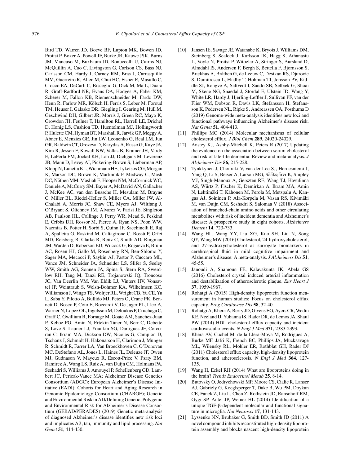Bird TD, Warren JD, Boeve BF, Lupton MK, Bowen JD, Proitsi P, Boxer A, Powell JF, Burke JR, Kauwe JSK, Burns JM, Mancuso M, Buxbaum JD, Bonuccelli U, Cairns NJ, McQuillin A, Cao C, Livingston G, Carlson CS, Bass NJ, Carlsson CM, Hardy J, Carney RM, Bras J, Carrasquillo MM, Guerreiro R, Allen M, Chui HC, Fisher E, Masullo C, Crocco EA, DeCarli C, Bisceglio G, Dick M, Ma L, Duara R, Graff-Radford NR, Evans DA, Hodges A, Faber KM, Scherer M, Fallon KB, Riemenschneider M, Fardo DW, Heun R, Farlow MR, Kölsch H, Ferris S, Leber M, Foroud TM, Heuser I, Galasko DR, Giegling I, Gearing M, Hüll M, Geschwind DH, Gilbert JR, Morris J, Green RC, Mayo K, Growdon JH, Feulner T, Hamilton RL, Harrell LE, Drichel D, Honig LS, Cushion TD, Huentelman MJ, Hollingworth P, Hulette CM, Hyman BT, Marshall R, Jarvik GP, Meggy A, Abner E, Menzies GE, Jin LW, Leonenko G, Real LM, Jun GR, Baldwin CT, Grozeva D, Karydas A, Russo G, Kaye JA, Kim R, Jessen F, Kowall NW, Vellas B, Kramer JH, Vardy E, LaFerla FM, Jöckel KH, Lah JJ, Dichgans M, Leverenz JB, Mann D, Levey AI, Pickering-Brown S, Lieberman AP, Klopp N, Lunetta KL, Wichmann HE, Lyketsos CG, Morgan K, Marson DC, Brown K, Martiniuk F, Medway C, Mash DC, Nöthen MM, Masliah E, Hooper NM, McCormick WC, Daniele A, McCurry SM, Bayer A, McDavid AN, Gallacher J, McKee AC, van den Bussche H, Mesulam M, Brayne C, Miller BL, Riedel-Heller S, Miller CA, Miller JW, Al-Chalabi A, Morris JC, Shaw CE, Myers AJ, Wiltfang J, O'Bryant S, Olichney JM, Alvarez V, Parisi JE, Singleton AB, Paulson HL, Collinge J, Perry WR, Mead S, Peskind E, Cribbs DH, Rossor M, Pierce A, Ryan NS, Poon WW, Nacmias B, Potter H, Sorbi S, Quinn JF, Sacchinelli E, Raj A, Spalletta G, Raskind M, Caltagirone C, Bossu P, Orfei ` MD, Reisberg B, Clarke R, Reitz C, Smith AD, Ringman JM, Warden D, Roberson ED, Wilcock G, Rogaeva E, Bruni AC, Rosen HJ, Gallo M, Rosenberg RN, Ben-Shlomo Y, Sager MA, Mecocci P, Saykin AJ, Pastor P, Cuccaro ML, Vance JM, Schneider JA, Schneider LS, Slifer S, Seeley WW, Smith AG, Sonnen JA, Spina S, Stern RA, Swerdlow RH, Tang M, Tanzi RE, Trojanowski JQ, Troncoso JC, Van Deerlin VM, Van Eldik LJ, Vinters HV, Vonsattel JP, Weintraub S, Welsh-Bohmer KA, Wilhelmsen KC, Williamson J, Wingo TS, Woltjer RL, Wright CB, Yu CE, Yu L, Saba Y, Pilotto A, Bullido MJ, Peters O, Crane PK, Bennett D, Bosco P, Coto E, Boccardi V, De Jager PL, Lleo A, Warner N, Lopez OL, Ingelsson M, Deloukas P, Cruchaga C, Graff C, Gwilliam R, Fornage M, Goate AM, Sanchez-Juan P, Kehoe PG, Amin N, Ertekin-Taner N, Berr C, Debette S, Love S, Launer LJ, Younkin SG, Dartigues JF, Corcoran C, Ikram MA, Dickson DW, Nicolas G, Campion D, Tschanz J, Schmidt H, Hakonarson H, Clarimon J, Munger R, Schmidt R, Farrer LA, Van Broeckhoven C, O'Donovan MC, DeStefano AL, Jones L, Haines JL, Deleuze JF, Owen MJ, Gudnason V, Mayeux R, Escott-Price V, Psaty BM, Ramirez A, Wang LS, Ruiz A, van Duijn CM, Holmans PA, Seshadri S, Williams J, Amouyel P, Schellenberg GD, Lambert JC, Pericak-Vance MA; Alzheimer Disease Genetics Consortium (ADGC); European Alzheimer's Disease Initiative (EADI); Cohorts for Heart and Aging Research in Genomic Epidemiology Consortium (CHARGE); Genetic and Environmental Risk in AD/Defining Genetic, Polygenic and Environmental Risk for Alzheimer's Disease Consortium (GERAD/PERADES) (2019) Genetic meta-analysis of diagnosed Alzheimer's disease identifies new risk loci and implicates A $\beta$ , tau, immunity and lipid processing. Nat *Genet* **51**, 414-430.

- [10] Jansen IE, Savage JE, Watanabe K, Bryois J, Williams DM, Steinberg S, Sealock J, Karlsson IK, Hägg S, Athanasiu L, Voyle N, Proitsi P, Witoelar A, Stringer S, Aarsland D, Almdahl IS, Andersen F, Bergh S, Bettella F, Bjornsson S, Brækhus A, Bråthen G, de Leeuw C, Desikan RS, Djurovic S, Dumitrescu L, Fladby T, Hohman TJ, Jonsson PV, Kiddle SJ, Rongve A, Saltvedt I, Sando SB, Selbæk G, Shoai M, Skene NG, Snaedal J, Stordal E, Ulstein ID, Wang Y, White LR, Hardy J, Hjerling-Leffler J, Sullivan PF, van der Flier WM, Dobson R, Davis LK, Stefansson H, Stefansson K, Pedersen NL, Ripke S, Andreassen OA, Posthuma D (2019) Genome-wide meta-analysis identifies new loci and functional pathways influencing Alzheimer's disease risk. *Nat Genet* **51**, 404-413.
- [11] Phillips MC (2014) Molecular mechanisms of cellular cholesterol efflux. *J Biol Chem* **289**, 24020-24029.
- [12] Anstey KJ, Ashby-Mitchell K, Peters R (2017) Updating the evidence on the association between serum cholesterol and risk of late-life dementia: Review and meta-analysis. *J Alzheimers Dis* **56**, 215-228.
- [13] Tynkkynen J, Chouraki V, van der Lee SJ, Hernesniemi J, Yang Q, Li S, Beiser A, Larson MG, Sääksjärvi K, Shipley MJ, Singh-Manoux A, Gerszten RE, Wang TJ, Havulinna AS, Würtz P, Fischer K, Demirkan A, Ikram MA, Amin N, Lehtimäki T, Kähönen M, Perola M, Metspalu A, Kangas AJ, Soininen P, Ala-Korpela M, Vasan RS, Kivimäki M, van Duijn CM, Seshadri S, Salomaa V (2018) Association of branched-chain amino acids and other circulating metabolites with risk of incident dementia and Alzheimer's disease: A prospective study in eight cohorts. *Alzheimers Dement* **14**, 723-733.
- [14] Wang HL, Wang YY, Liu XG, Kuo SH, Liu N, Song QY, Wang MW (2016) Cholesterol, 24-hydroxycholesterol, and 27-hydroxycholesterol as surrogate biomarkers in cerebrospinal fluid in mild cognitive impairment and Alzheimer's disease: A meta-analysis. *J Alzheimers Dis* **51**, 45-55.
- [15] Janoudi A, Shamoun FE, Kalavakunta JK, Abela GS (2016) Cholesterol crystal induced arterial inflammation and destabilization of atherosclerotic plaque. *Eur Heart J* **37**, 1959-1967.
- [16] Rohatgi A (2015) High-density lipoprotein function measurement in human studies: Focus on cholesterol efflux capacity. *Prog Cardiovasc Dis* **58**, 32-40.
- [17] Rohatgi A, Khera A, Berry JD, Givens EG, Ayers CR, Wedin KE, Neeland IJ, Yuhanna IS, Rader DR, de Lemos JA, Shaul PW (2014) HDL cholesterol efflux capacity and incident cardiovascular events. *N Engl J Med* **371**, 2383-2393.
- [18] Khera AV, Cuchel M, de la Llera-Moya M, Rodrigues A, Burke MF, Jafri K, French BC, Phillips JA, Mucksavage ML, Wilensky RL, Mohler ER, Rothblat GH, Rader DJ (2011) Cholesterol efflux capacity, high-density lipoprotein function, and atherosclerosis. *N Engl J Med* **364**, 127- 135.
- [19] Wang H, Eckel RH (2014) What are lipoproteins doing in the brain? *Trends Endocrinol Metab* **25**, 8-14.
- [20] Butovsky O, Jedrychowski MP, Moore CS, Cialic R, Lanser AJ, Gabriely G, Koeglsperger T, Dake B, Wu PM, Doykan CE, Fanek Z, Liu L, Chen Z, Rothstein JD, Ransohoff RM, Gygi SP, Antel JP, Weiner HL (2014) Identification of a unique TGF- $\beta$ -dependent molecular and functional signature in microglia. *Nat Neurosci* **17**, 131-143.
- [21] Lyssenko NN, Brubaker G, Smith BD, Smith JD (2011) A novel compound inhibits reconstituted high-density lipoprotein assembly and blocks nascent high-density lipoprotein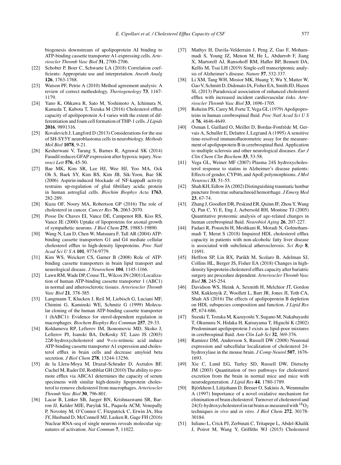biogenesis downstream of apolipoprotein AI binding to ATP-binding cassette transporter A1-expressing cells. *Arterioscler Thromb Vasc Biol* **31**, 2700-2706.

- [22] Schober P, Boer C, Schwarte LA (2018) Correlation coefficients: Appropriate use and interpretation. *Anesth Analg* **126**, 1763-1768.
- [23] Watson PF, Petrie A (2010) Method agreement analysis: A review of correct methodology. *Theriogenology* **73**, 1167- 1179.
- [24] Yano K, Ohkawa R, Sato M, Yoshimoto A, Ichimura N, Kameda T, Kubota T, Tozuka M (2016) Cholesterol efflux capacity of apolipoprotein A-I varies with the extent of differentiation and foam cell formation of THP-1 cells. *J Lipids* **2016**, 9891316.
- [25] Kovalevich J, Langford D (2013) Considerations for the use of SH-SY5Y neuroblastoma cells in neurobiology. *Methods Mol Biol* **1078**, 9-21.
- [26] Kesherwani V, Tarang S, Barnes R, Agrawal SK (2014) Fasudil reduces GFAP expression after hypoxic injury. *Neurosci Lett* **576**, 45-50.
- [27] Bae MK, Kim SR, Lee HJ, Wee HJ, Yoo MA, Ock Oh S, Baek SY, Kim BS, Kim JB, Sik-Yoon, Bae SK (2006) Aspirin-induced blockade of NF-kappaB activity restrains up-regulation of glial fibrillary acidic protein in human astroglial cells. *Biochim Biophys Acta* **1763**, 282-289.
- [28] Kuzu OF, Noory MA, Robertson GP (2016) The role of cholesterol in cancer. *Cancer Res* **76**, 2063-2070.
- [29] Posse De Chaves EI, Vance DE, Campenot RB, Kiss RS, Vance JE (2000) Uptake of lipoproteins for axonal growth of sympathetic neurons. *J Biol Chem* **275**, 19883-19890.
- [30] Wang N, Lan D, Chen W, Matsuura F, Tall AR (2004) ATPbinding cassette transporters G1 and G4 mediate cellular cholesterol efflux to high-density lipoproteins. *Proc Natl Acad SciUSA* **101**, 9774-9779.
- [31] Kim WS, Weickert CS, Garner B (2008) Role of ATPbinding cassette transporters in brain lipid transport and neurological disease. *J Neurochem* **104**, 1145-1166.
- [32] Lawn RM, Wade DP, Couse TL, Wilcox JN (2001) Localization of human ATP-binding cassette transporter 1 (ABC1) in normal and atherosclerotic tissues. *Arterioscler Thromb Vasc Biol* **21**, 378-385.
- [33] Langmann T, Klucken J, Reil M, Liebisch G, Luciani MF, Chimini G, Kaminski WE, Schmitz G (1999) Molecular cloning of the human ATP-binding cassette transporter 1 (hABC1): Evidence for sterol-dependent regulation in macrophages. *Biochem Biophys Res Commun* **257**, 29-33.
- [34] Koldamova RP, Lefterov IM, Ikonomovic MD, Skoko J, Lefterov PI, Isanski BA, DeKosky ST, Lazo JS (2003) 22*R*-hydroxycholesterol and 9-*cis*-retinoic acid induce ATP-binding cassette transporter A1 expression and cholesterol efflux in brain cells and decrease amyloid beta secretion. *J Biol Chem* **278**, 13244-13256.
- [35] de la Llera-Moya M, Drazul-Schrader D, Asztalos BF, Cuchel M, Rader DJ, Rothblat GH (2010) The ability to promote efflux via ABCA1 determines the capacity of serum specimens with similar high-density lipoprotein cholesterol to remove cholesterol from macrophages. *Arterioscler Thromb Vasc Biol* **30**, 796-801.
- [36] Lacar B, Linker SB, Jaeger BN, Krishnaswami SR, Barron JJ, Kelder MJE, Parylak SL, Paquola ACM, Venepally P, Novotny M, O'Connor C, Fitzpatrick C, Erwin JA, Hsu JY, Husband D, McConnell MJ, Lasken R, Gage FH (2016) Nuclear RNA-seq of single neurons reveals molecular signatures of activation. *Nat Commun* **7**, 11022.
- [37] Mathys H, Davila-Velderrain J, Peng Z, Gao F, Mohammadi S, Young JZ, Menon M, He L, Abdurrob F, Jiang X, Martorell AJ, Ransohoff RM, Hafler BP, Bennett DA, Kellis M, Tsai LH (2019) Single-cell transcriptomic analysis of Alzheimer's disease. *Nature* **57**, 332-337.
- [38] Li XM, Tang WH, Mosior MK, Huang Y, Wu Y, Matter W, Gao V, Schmitt D, Didonato JA, Fisher EA, Smith JD, Hazen SL (2013) Paradoxical association of enhanced cholesterol efflux with increased incident cardiovascular risks. *Arterioscler Thromb Vasc Biol* **33**, 1696-1705.
- [39] Roheim PS, Carey M, Forte T, Vega GL (1979) Apolipoproteins in human cerebrospinal fluid. *Proc Natl Acad Sci U S A* **76**, 4646-4649.
- [40] Osman I, Gaillard O, Meillet D, Bordas-Fonfrède M, Gervais A, Schuller E, Delattre J, Legrand A (1995) A sensitive time-resolved immunofluorometric assay for the measurement of apolipoprotein B in cerebrospinal fluid. Application to multiple sclerosis and other neurological diseases. *Eur J Clin Chem Clin Biochem* **33**, 53-58.
- [41] Vega GL, Weiner MF (2007) Plasma 24S hydroxycholesterol response to statins in Alzheimer's disease patients: Effects of gender, CYP46, and ApoE polymorphisms. *J Mol Neurosci* **33**, 51-55.
- [42] Shah KH, Edlow JA (2002) Distinguishing traumatic lumbar puncture from true subarachnoid hemorrhage. *J Emerg Med* **23**, 67-74.
- [43] Zhang J, Goodlett DR, Peskind ER, Quinn JF, Zhou Y, Wang Q, Pan C, Yi E, Eng J, Aebersold RH, Montine TJ (2005) Quantitative proteomic analysis of age-related changes in human cerebrospinal fluid. *Neurobiol Aging* **26**, 207-227.
- [44] Fadaei R, Poustchi H, Meshkani R, Moradi N, Golmohammadi T, Merat S (2018) Impaired HDL cholesterol efflux capacity in patients with non-alcoholic fatty liver disease is associated with subclinical atherosclerosis. *Sci Rep* **8**, 11691.
- [45] Heffron SP, Lin BX, Parikh M, Scolaro B, Adelman SJ, Collins HL, Berger JS, Fisher EA (2018) Changes in highdensity lipoprotein cholesterol efflux capacity after bariatric surgery are procedure dependent. *Arterioscler Thromb Vasc Biol* **38**, 245-254.
- [46] Davidson WS, Heink A, Sexmith H, Melchior JT, Gordon SM, Kuklenyik Z, Woollett L, Barr JR, Jones JI, Toth CA, Shah AS (2016) The effects of apolipoprotein B depletion on HDL subspecies composition and function. *J Lipid Res* **57**, 674-686.
- [47] Suzuki T, Tozuka M, Kazuyoshi Y, Sugano M, Nakabayashi T, Okumura N, Hidaka H, Katsuyama T, Higuchi K (2002) Predominant apolipoprotein J exists as lipid-poor mixtures in cerebrospinal fluid. *Ann Clin Lab Sci* **32**, 369-376.
- [48] Ramirez DM, Andersson S, Russell DW (2008) Neuronal expression and subcellular localization of cholesterol 24 hydroxylase in the mouse brain. *J Comp Neurol* **507**, 1676- 1693.
- [49] Xie C, Lund EG, Turley SD, Russell DW, Dietschy JM (2003) Quantitation of two pathways for cholesterol excretion from the brain in normal mice and mice with neurodegeneration. *J Lipid Res* **44**, 1780-1789.
- [50] Björkhem I, Lütjohann D, Breuer O, Sakinis A, Wennmalm A (1997) Importance of a novel oxidative mechanism for elimination of brain cholesterol. Turnover of cholesterol and 24( $S$ )-hydroxycholesterol in rat brain as measured with  ${}^{18}O_2$ techniques *in vivo* and *in vitro*. *J Biol Chem* **272**, 30178- 30184.
- [51] Iuliano L, Crick PJ, Zerbinati C, Tritapepe L, Abdel-Khalik J, Poirot M, Wang Y, Griffiths WJ (2015) Cholesterol